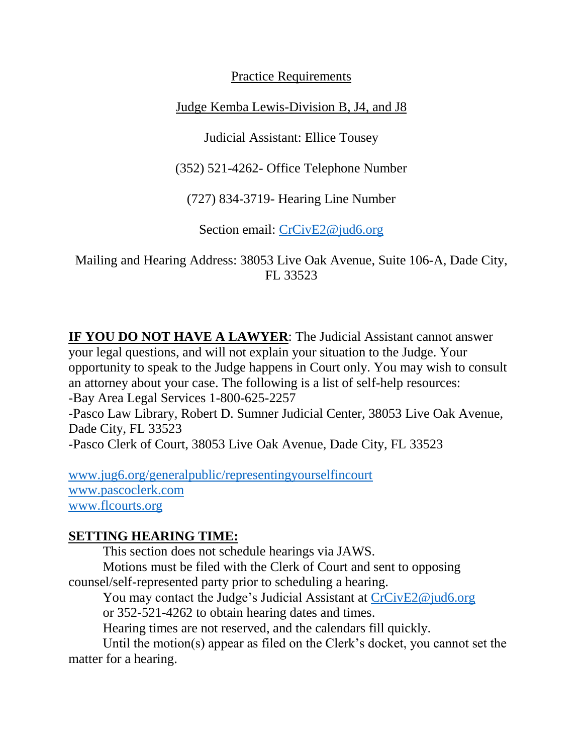Practice Requirements

Judge Kemba Lewis-Division B, J4, and J8

Judicial Assistant: Ellice Tousey

(352) 521-4262- Office Telephone Number

(727) 834-3719- Hearing Line Number

Section email: [CrCivE2@jud6.org](mailto:CrCivE2@jud6.org)

Mailing and Hearing Address: 38053 Live Oak Avenue, Suite 106-A, Dade City, FL 33523

**IF YOU DO NOT HAVE A LAWYER**: The Judicial Assistant cannot answer your legal questions, and will not explain your situation to the Judge. Your opportunity to speak to the Judge happens in Court only. You may wish to consult an attorney about your case. The following is a list of self-help resources: -Bay Area Legal Services 1-800-625-2257 -Pasco Law Library, Robert D. Sumner Judicial Center, 38053 Live Oak Avenue, Dade City, FL 33523 -Pasco Clerk of Court, 38053 Live Oak Avenue, Dade City, FL 33523

[www.jug6.org/generalpublic/representingyourselfincourt](http://www.jug6.org/generalpublic/representingyourselfincourt) [www.pascoclerk.com](http://www.pascoclerk.com/) [www.flcourts.org](http://www.flcourts.org/)

# **SETTING HEARING TIME:**

This section does not schedule hearings via JAWS.

Motions must be filed with the Clerk of Court and sent to opposing counsel/self-represented party prior to scheduling a hearing.

You may contact the Judge's Judicial Assistant at [CrCivE2@jud6.org](mailto:CrCivE2@jud6.org)

or 352-521-4262 to obtain hearing dates and times.

Hearing times are not reserved, and the calendars fill quickly.

Until the motion(s) appear as filed on the Clerk's docket, you cannot set the matter for a hearing.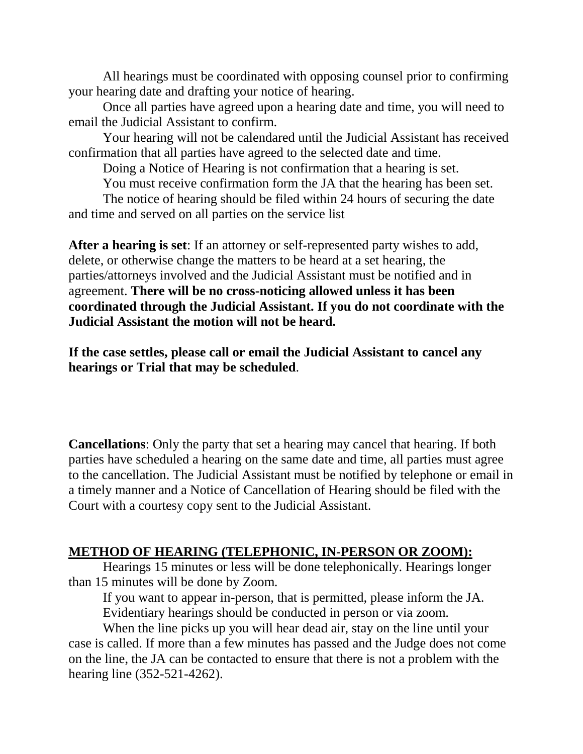All hearings must be coordinated with opposing counsel prior to confirming your hearing date and drafting your notice of hearing.

Once all parties have agreed upon a hearing date and time, you will need to email the Judicial Assistant to confirm.

Your hearing will not be calendared until the Judicial Assistant has received confirmation that all parties have agreed to the selected date and time.

Doing a Notice of Hearing is not confirmation that a hearing is set.

You must receive confirmation form the JA that the hearing has been set.

The notice of hearing should be filed within 24 hours of securing the date and time and served on all parties on the service list

**After a hearing is set**: If an attorney or self-represented party wishes to add, delete, or otherwise change the matters to be heard at a set hearing, the parties/attorneys involved and the Judicial Assistant must be notified and in agreement. **There will be no cross-noticing allowed unless it has been coordinated through the Judicial Assistant. If you do not coordinate with the Judicial Assistant the motion will not be heard.**

**If the case settles, please call or email the Judicial Assistant to cancel any hearings or Trial that may be scheduled**.

**Cancellations**: Only the party that set a hearing may cancel that hearing. If both parties have scheduled a hearing on the same date and time, all parties must agree to the cancellation. The Judicial Assistant must be notified by telephone or email in a timely manner and a Notice of Cancellation of Hearing should be filed with the Court with a courtesy copy sent to the Judicial Assistant.

#### **METHOD OF HEARING (TELEPHONIC, IN-PERSON OR ZOOM):**

Hearings 15 minutes or less will be done telephonically. Hearings longer than 15 minutes will be done by Zoom.

If you want to appear in-person, that is permitted, please inform the JA. Evidentiary hearings should be conducted in person or via zoom.

When the line picks up you will hear dead air, stay on the line until your case is called. If more than a few minutes has passed and the Judge does not come on the line, the JA can be contacted to ensure that there is not a problem with the hearing line (352-521-4262).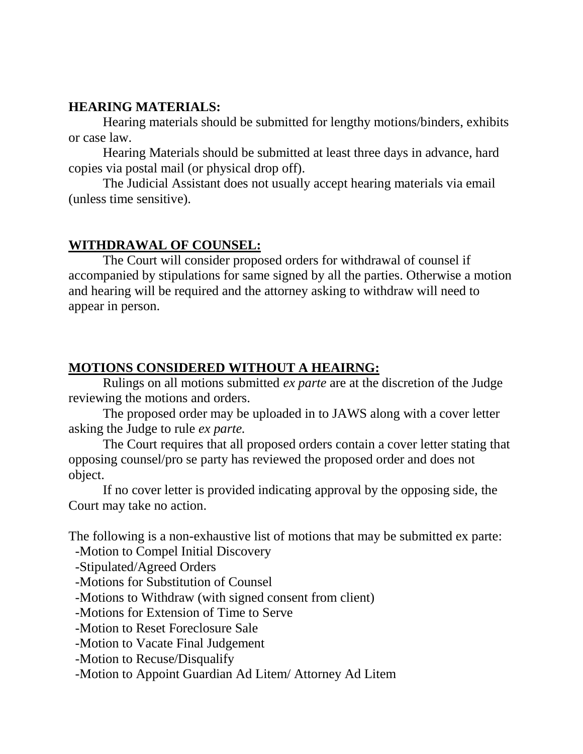## **HEARING MATERIALS:**

Hearing materials should be submitted for lengthy motions/binders, exhibits or case law.

Hearing Materials should be submitted at least three days in advance, hard copies via postal mail (or physical drop off).

The Judicial Assistant does not usually accept hearing materials via email (unless time sensitive).

# **WITHDRAWAL OF COUNSEL:**

The Court will consider proposed orders for withdrawal of counsel if accompanied by stipulations for same signed by all the parties. Otherwise a motion and hearing will be required and the attorney asking to withdraw will need to appear in person.

# **MOTIONS CONSIDERED WITHOUT A HEAIRNG:**

Rulings on all motions submitted *ex parte* are at the discretion of the Judge reviewing the motions and orders.

The proposed order may be uploaded in to JAWS along with a cover letter asking the Judge to rule *ex parte.*

The Court requires that all proposed orders contain a cover letter stating that opposing counsel/pro se party has reviewed the proposed order and does not object.

If no cover letter is provided indicating approval by the opposing side, the Court may take no action.

The following is a non-exhaustive list of motions that may be submitted ex parte:

-Motion to Compel Initial Discovery

-Stipulated/Agreed Orders

-Motions for Substitution of Counsel

-Motions to Withdraw (with signed consent from client)

-Motions for Extension of Time to Serve

-Motion to Reset Foreclosure Sale

-Motion to Vacate Final Judgement

-Motion to Recuse/Disqualify

-Motion to Appoint Guardian Ad Litem/ Attorney Ad Litem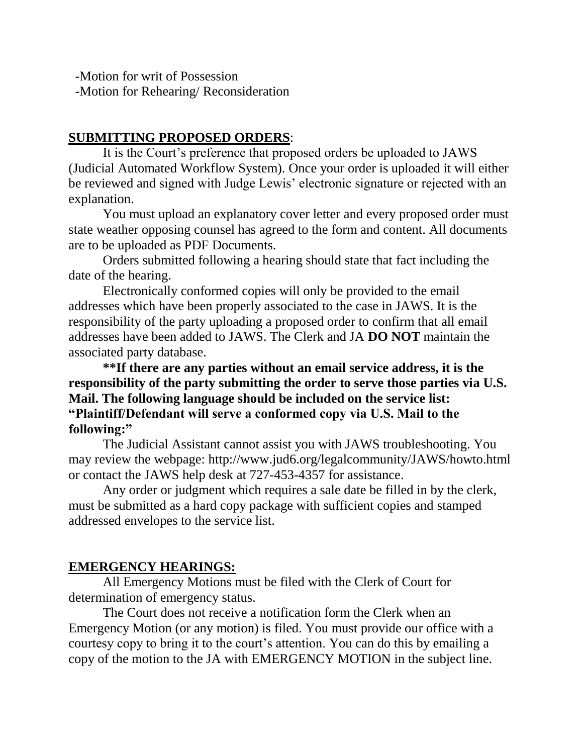-Motion for writ of Possession -Motion for Rehearing/ Reconsideration

### **SUBMITTING PROPOSED ORDERS**:

It is the Court's preference that proposed orders be uploaded to JAWS (Judicial Automated Workflow System). Once your order is uploaded it will either be reviewed and signed with Judge Lewis' electronic signature or rejected with an explanation.

You must upload an explanatory cover letter and every proposed order must state weather opposing counsel has agreed to the form and content. All documents are to be uploaded as PDF Documents.

Orders submitted following a hearing should state that fact including the date of the hearing.

Electronically conformed copies will only be provided to the email addresses which have been properly associated to the case in JAWS. It is the responsibility of the party uploading a proposed order to confirm that all email addresses have been added to JAWS. The Clerk and JA **DO NOT** maintain the associated party database.

**\*\*If there are any parties without an email service address, it is the responsibility of the party submitting the order to serve those parties via U.S. Mail. The following language should be included on the service list: "Plaintiff/Defendant will serve a conformed copy via U.S. Mail to the following:"**

The Judicial Assistant cannot assist you with JAWS troubleshooting. You may review the webpage: http://www.jud6.org/legalcommunity/JAWS/howto.html or contact the JAWS help desk at 727-453-4357 for assistance.

Any order or judgment which requires a sale date be filled in by the clerk, must be submitted as a hard copy package with sufficient copies and stamped addressed envelopes to the service list.

#### **EMERGENCY HEARINGS:**

All Emergency Motions must be filed with the Clerk of Court for determination of emergency status.

The Court does not receive a notification form the Clerk when an Emergency Motion (or any motion) is filed. You must provide our office with a courtesy copy to bring it to the court's attention. You can do this by emailing a copy of the motion to the JA with EMERGENCY MOTION in the subject line.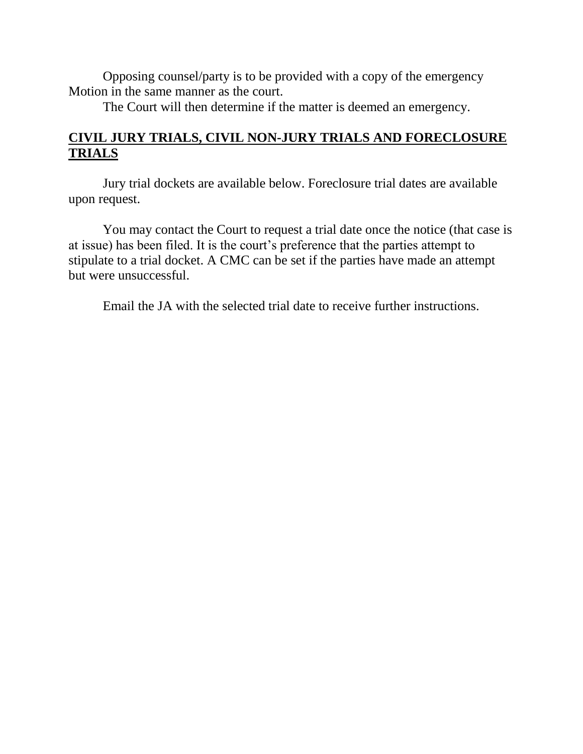Opposing counsel/party is to be provided with a copy of the emergency Motion in the same manner as the court.

The Court will then determine if the matter is deemed an emergency.

# **CIVIL JURY TRIALS, CIVIL NON-JURY TRIALS AND FORECLOSURE TRIALS**

Jury trial dockets are available below. Foreclosure trial dates are available upon request.

You may contact the Court to request a trial date once the notice (that case is at issue) has been filed. It is the court's preference that the parties attempt to stipulate to a trial docket. A CMC can be set if the parties have made an attempt but were unsuccessful.

Email the JA with the selected trial date to receive further instructions.